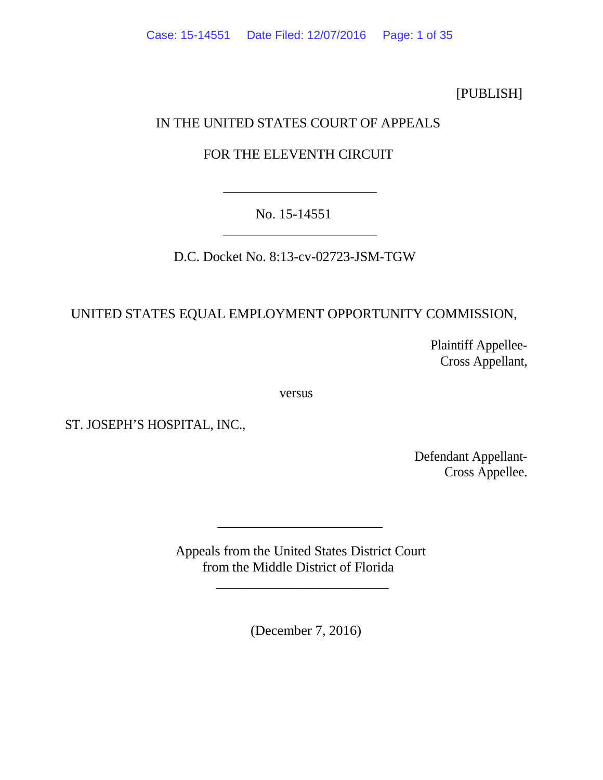[PUBLISH]

# IN THE UNITED STATES COURT OF APPEALS

## FOR THE ELEVENTH CIRCUIT

No. 15-14551

D.C. Docket No. 8:13-cv-02723-JSM-TGW

# UNITED STATES EQUAL EMPLOYMENT OPPORTUNITY COMMISSION,

Plaintiff Appellee-Cross Appellant,

versus

ST. JOSEPH'S HOSPITAL, INC.,

Defendant Appellant-Cross Appellee.

Appeals from the United States District Court from the Middle District of Florida

\_\_\_\_\_\_\_\_\_\_\_\_\_\_\_\_\_\_\_\_\_\_\_\_\_

(December 7, 2016)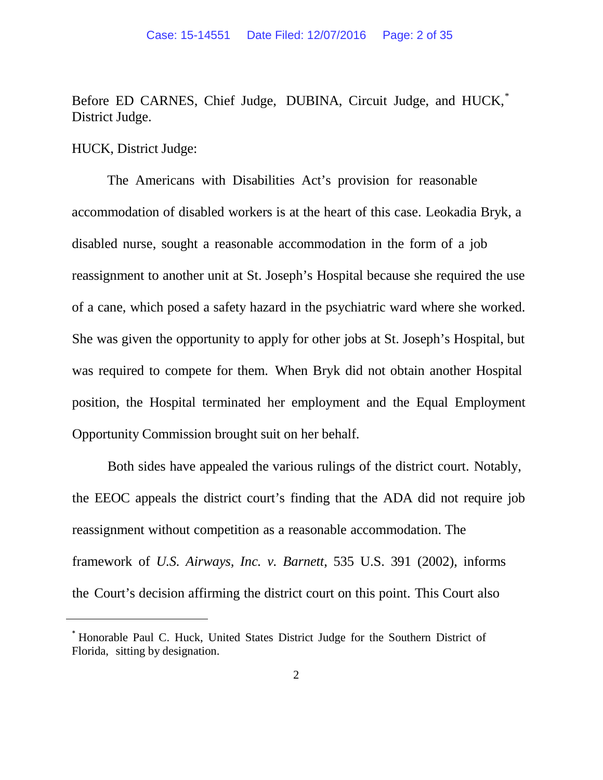Before ED CARNES, Chief Judge, DUBINA, Circuit Judge, and HUCK,<sup>[\\*](#page-1-0)</sup> District Judge.

HUCK, District Judge:

<span id="page-1-0"></span>**.** 

The Americans with Disabilities Act's provision for reasonable accommodation of disabled workers is at the heart of this case. Leokadia Bryk, a disabled nurse, sought a reasonable accommodation in the form of a job reassignment to another unit at St. Joseph's Hospital because she required the use of a cane, which posed a safety hazard in the psychiatric ward where she worked. She was given the opportunity to apply for other jobs at St. Joseph's Hospital, but was required to compete for them. When Bryk did not obtain another Hospital position, the Hospital terminated her employment and the Equal Employment Opportunity Commission brought suit on her behalf.

Both sides have appealed the various rulings of the district court. Notably, the EEOC appeals the district court's finding that the ADA did not require job reassignment without competition as a reasonable accommodation. The framework of *U.S. Airways, Inc. v. Barnett*, 535 U.S. 391 (2002), informs the Court's decision affirming the district court on this point. This Court also

<sup>\*</sup> Honorable Paul C. Huck, United States District Judge for the Southern District of Florida, sitting by designation.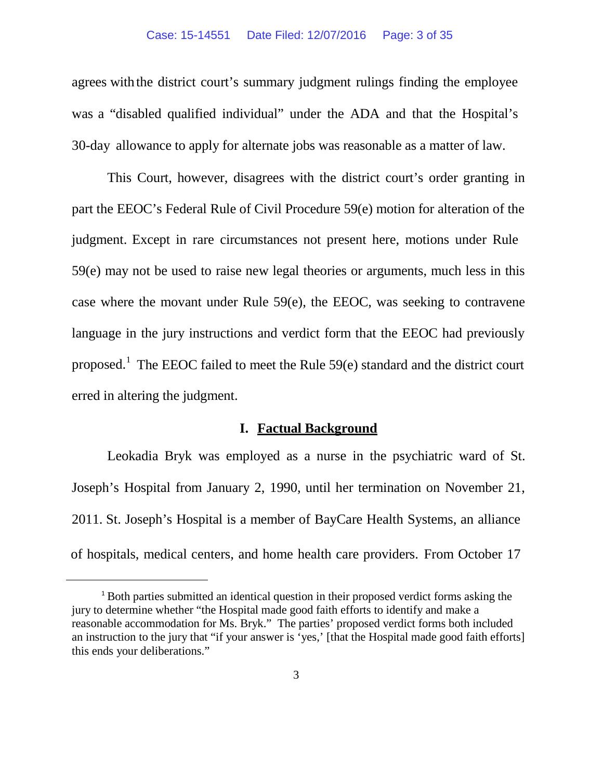agrees with the district court's summary judgment rulings finding the employee was a "disabled qualified individual" under the ADA and that the Hospital's 30-day allowance to apply for alternate jobs was reasonable as a matter of law.

This Court, however, disagrees with the district court's order granting in part the EEOC's Federal Rule of Civil Procedure 59(e) motion for alteration of the judgment. Except in rare circumstances not present here, motions under Rule 59(e) may not be used to raise new legal theories or arguments, much less in this case where the movant under Rule 59(e), the EEOC, was seeking to contravene language in the jury instructions and verdict form that the EEOC had previously proposed.<sup>[1](#page-2-0)</sup> The EEOC failed to meet the Rule  $59(e)$  standard and the district court erred in altering the judgment.

### **I. Factual Background**

Leokadia Bryk was employed as a nurse in the psychiatric ward of St. Joseph's Hospital from January 2, 1990, until her termination on November 21, 2011. St. Joseph's Hospital is a member of BayCare Health Systems, an alliance of hospitals, medical centers, and home health care providers. From October 17

<span id="page-2-0"></span> $\overline{a}$ 

<sup>&</sup>lt;sup>1</sup> Both parties submitted an identical question in their proposed verdict forms asking the jury to determine whether "the Hospital made good faith efforts to identify and make a reasonable accommodation for Ms. Bryk." The parties' proposed verdict forms both included an instruction to the jury that "if your answer is 'yes,' [that the Hospital made good faith efforts] this ends your deliberations."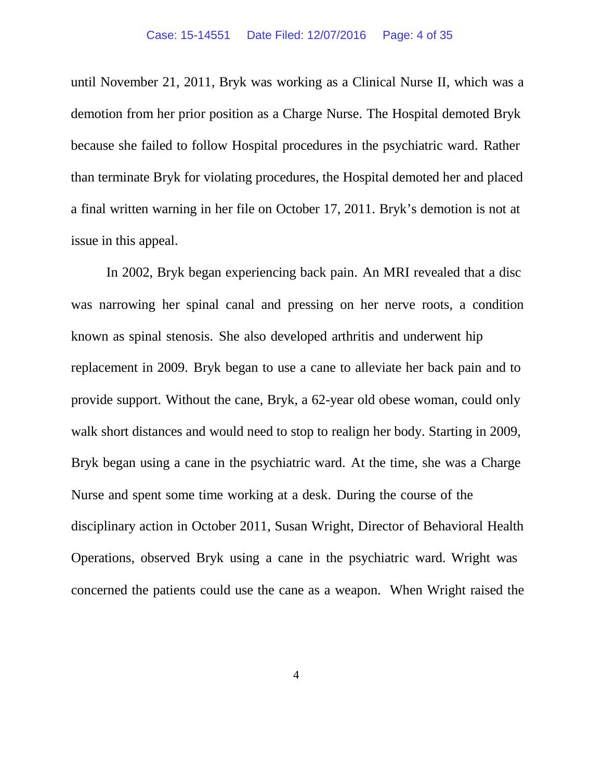until November 21, 2011, Bryk was working as a Clinical Nurse II, which was a demotion from her prior position as a Charge Nurse. The Hospital demoted Bryk because she failed to follow Hospital procedures in the psychiatric ward. Rather than terminate Bryk for violating procedures, the Hospital demoted her and placed a final written warning in her file on October 17, 2011. Bryk's demotion is not at issue in this appeal.

In 2002, Bryk began experiencing back pain. An MRI revealed that a disc was narrowing her spinal canal and pressing on her nerve roots, a condition known as spinal stenosis. She also developed arthritis and underwent hip replacement in 2009. Bryk began to use a cane to alleviate her back pain and to provide support. Without the cane, Bryk, a 62-year old obese woman, could only walk short distances and would need to stop to realign her body. Starting in 2009, Bryk began using a cane in the psychiatric ward. At the time, she was a Charge Nurse and spent some time working at a desk. During the course of the disciplinary action in October 2011, Susan Wright, Director of Behavioral Health Operations, observed Bryk using a cane in the psychiatric ward. Wright was concerned the patients could use the cane as a weapon. When Wright raised the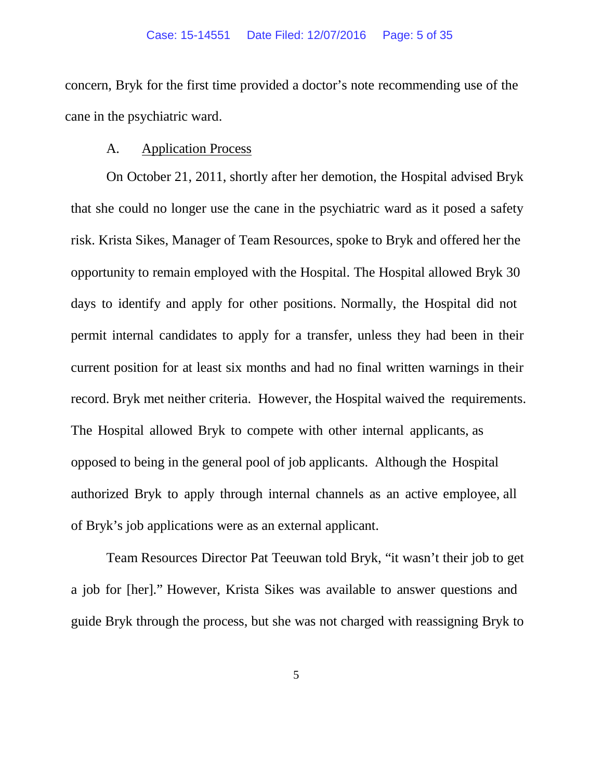concern, Bryk for the first time provided a doctor's note recommending use of the cane in the psychiatric ward.

#### A. Application Process

On October 21, 2011, shortly after her demotion, the Hospital advised Bryk that she could no longer use the cane in the psychiatric ward as it posed a safety risk. Krista Sikes, Manager of Team Resources, spoke to Bryk and offered her the opportunity to remain employed with the Hospital. The Hospital allowed Bryk 30 days to identify and apply for other positions. Normally, the Hospital did not permit internal candidates to apply for a transfer, unless they had been in their current position for at least six months and had no final written warnings in their record. Bryk met neither criteria. However, the Hospital waived the requirements. The Hospital allowed Bryk to compete with other internal applicants, as opposed to being in the general pool of job applicants. Although the Hospital authorized Bryk to apply through internal channels as an active employee, all of Bryk's job applications were as an external applicant.

Team Resources Director Pat Teeuwan told Bryk, "it wasn't their job to get a job for [her]." However, Krista Sikes was available to answer questions and guide Bryk through the process, but she was not charged with reassigning Bryk to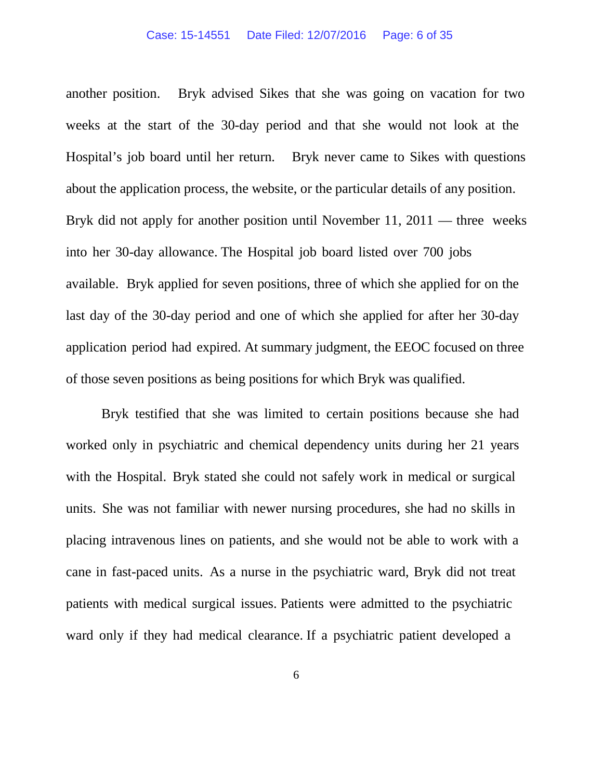another position. Bryk advised Sikes that she was going on vacation for two weeks at the start of the 30-day period and that she would not look at the Hospital's job board until her return. Bryk never came to Sikes with questions about the application process, the website, or the particular details of any position. Bryk did not apply for another position until November 11, 2011 — three weeks into her 30-day allowance. The Hospital job board listed over 700 jobs available. Bryk applied for seven positions, three of which she applied for on the last day of the 30-day period and one of which she applied for after her 30-day application period had expired. At summary judgment, the EEOC focused on three of those seven positions as being positions for which Bryk was qualified.

Bryk testified that she was limited to certain positions because she had worked only in psychiatric and chemical dependency units during her 21 years with the Hospital. Bryk stated she could not safely work in medical or surgical units. She was not familiar with newer nursing procedures, she had no skills in placing intravenous lines on patients, and she would not be able to work with a cane in fast-paced units. As a nurse in the psychiatric ward, Bryk did not treat patients with medical surgical issues. Patients were admitted to the psychiatric ward only if they had medical clearance. If a psychiatric patient developed a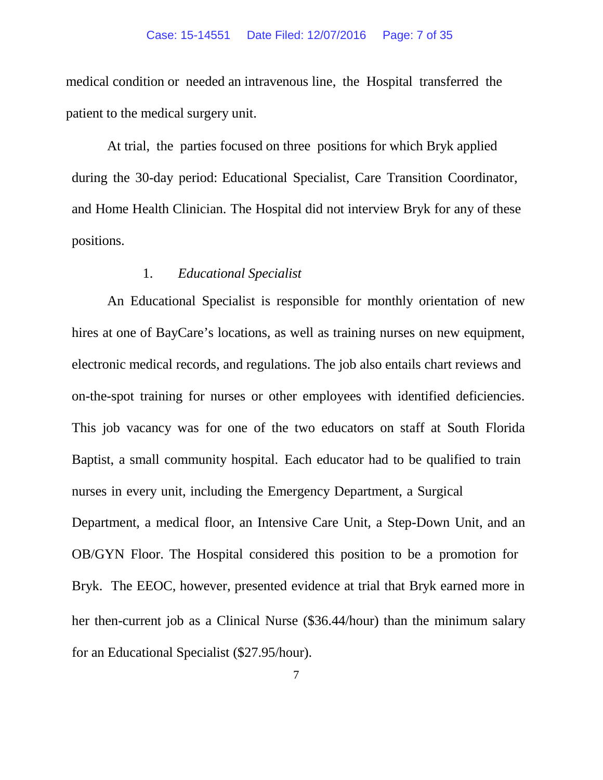medical condition or needed an intravenous line, the Hospital transferred the patient to the medical surgery unit.

At trial, the parties focused on three positions for which Bryk applied during the 30-day period: Educational Specialist, Care Transition Coordinator, and Home Health Clinician. The Hospital did not interview Bryk for any of these positions.

### 1. *Educational Specialist*

An Educational Specialist is responsible for monthly orientation of new hires at one of BayCare's locations, as well as training nurses on new equipment, electronic medical records, and regulations. The job also entails chart reviews and on-the-spot training for nurses or other employees with identified deficiencies. This job vacancy was for one of the two educators on staff at South Florida Baptist, a small community hospital. Each educator had to be qualified to train nurses in every unit, including the Emergency Department, a Surgical Department, a medical floor, an Intensive Care Unit, a Step-Down Unit, and an OB/GYN Floor. The Hospital considered this position to be a promotion for Bryk. The EEOC, however, presented evidence at trial that Bryk earned more in her then-current job as a Clinical Nurse (\$36.44/hour) than the minimum salary for an Educational Specialist (\$27.95/hour).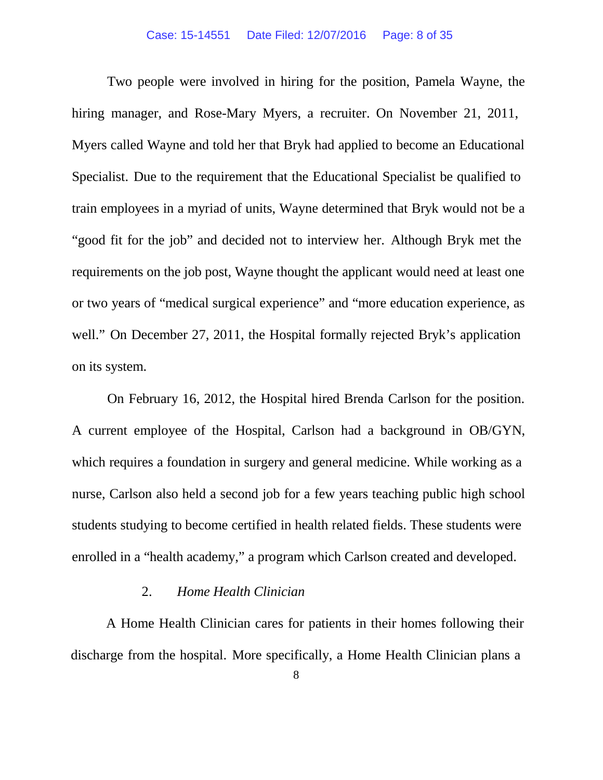Two people were involved in hiring for the position, Pamela Wayne, the hiring manager, and Rose-Mary Myers, a recruiter. On November 21, 2011, Myers called Wayne and told her that Bryk had applied to become an Educational Specialist. Due to the requirement that the Educational Specialist be qualified to train employees in a myriad of units, Wayne determined that Bryk would not be a "good fit for the job" and decided not to interview her. Although Bryk met the requirements on the job post, Wayne thought the applicant would need at least one or two years of "medical surgical experience" and "more education experience, as well." On December 27, 2011, the Hospital formally rejected Bryk's application on its system.

On February 16, 2012, the Hospital hired Brenda Carlson for the position. A current employee of the Hospital, Carlson had a background in OB/GYN, which requires a foundation in surgery and general medicine. While working as a nurse, Carlson also held a second job for a few years teaching public high school students studying to become certified in health related fields. These students were enrolled in a "health academy," a program which Carlson created and developed.

## 2. *Home Health Clinician*

A Home Health Clinician cares for patients in their homes following their discharge from the hospital. More specifically, a Home Health Clinician plans a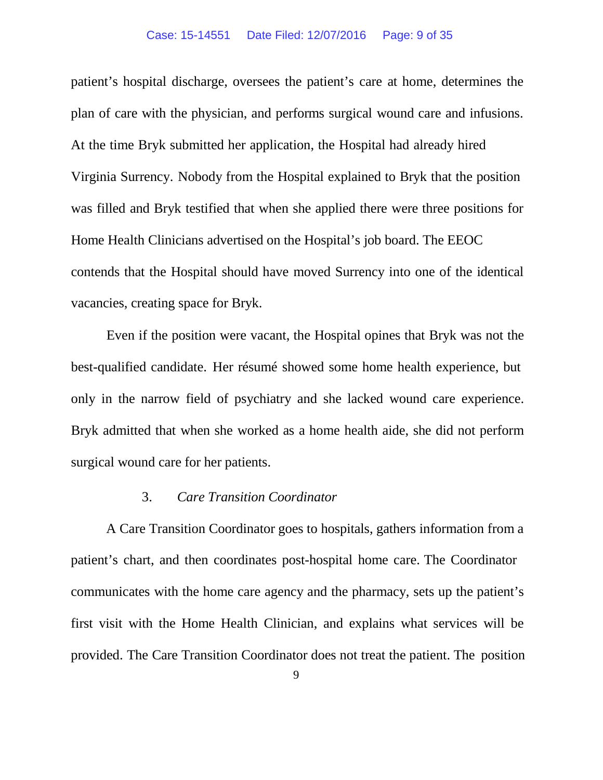patient's hospital discharge, oversees the patient's care at home, determines the plan of care with the physician, and performs surgical wound care and infusions. At the time Bryk submitted her application, the Hospital had already hired Virginia Surrency. Nobody from the Hospital explained to Bryk that the position was filled and Bryk testified that when she applied there were three positions for Home Health Clinicians advertised on the Hospital's job board. The EEOC contends that the Hospital should have moved Surrency into one of the identical vacancies, creating space for Bryk.

Even if the position were vacant, the Hospital opines that Bryk was not the best-qualified candidate. Her résumé showed some home health experience, but only in the narrow field of psychiatry and she lacked wound care experience. Bryk admitted that when she worked as a home health aide, she did not perform surgical wound care for her patients.

#### 3. *Care Transition Coordinator*

A Care Transition Coordinator goes to hospitals, gathers information from a patient's chart, and then coordinates post-hospital home care. The Coordinator communicates with the home care agency and the pharmacy, sets up the patient's first visit with the Home Health Clinician, and explains what services will be provided. The Care Transition Coordinator does not treat the patient. The position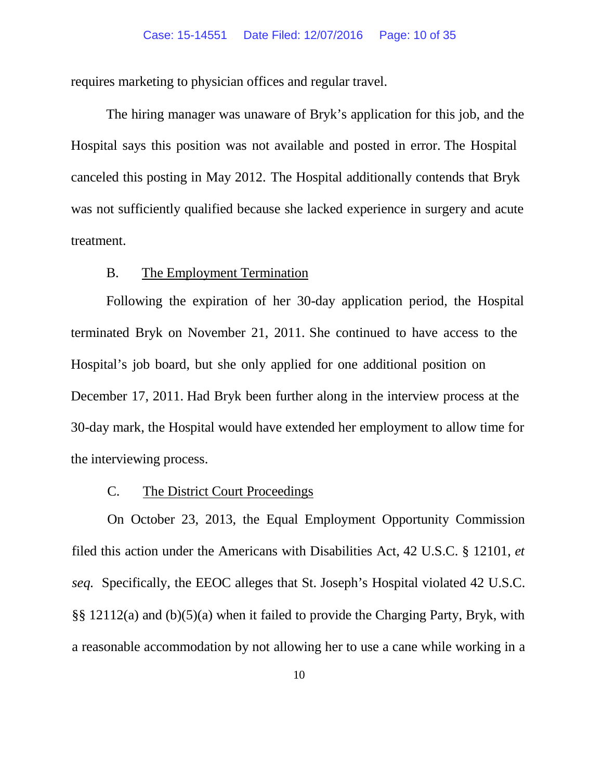requires marketing to physician offices and regular travel.

The hiring manager was unaware of Bryk's application for this job, and the Hospital says this position was not available and posted in error. The Hospital canceled this posting in May 2012. The Hospital additionally contends that Bryk was not sufficiently qualified because she lacked experience in surgery and acute treatment.

### B. The Employment Termination

Following the expiration of her 30-day application period, the Hospital terminated Bryk on November 21, 2011. She continued to have access to the Hospital's job board, but she only applied for one additional position on December 17, 2011. Had Bryk been further along in the interview process at the 30-day mark, the Hospital would have extended her employment to allow time for the interviewing process.

#### C. The District Court Proceedings

On October 23, 2013, the Equal Employment Opportunity Commission filed this action under the Americans with Disabilities Act, 42 U.S.C. § 12101, *et seq.* Specifically, the EEOC alleges that St. Joseph's Hospital violated 42 U.S.C. §§ 12112(a) and (b)(5)(a) when it failed to provide the Charging Party, Bryk, with a reasonable accommodation by not allowing her to use a cane while working in a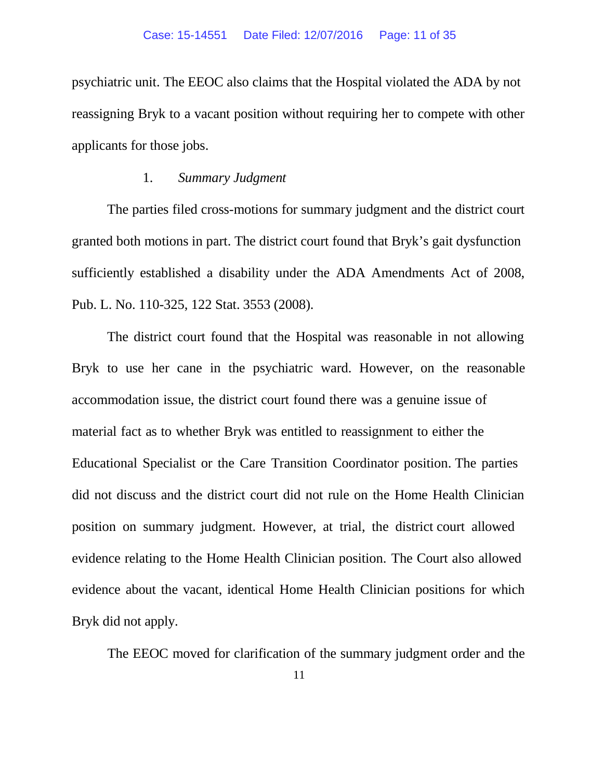psychiatric unit. The EEOC also claims that the Hospital violated the ADA by not reassigning Bryk to a vacant position without requiring her to compete with other applicants for those jobs.

#### 1. *Summary Judgment*

The parties filed cross-motions for summary judgment and the district court granted both motions in part. The district court found that Bryk's gait dysfunction sufficiently established a disability under the ADA Amendments Act of 2008, Pub. L. No. 110-325, 122 Stat. 3553 (2008).

The district court found that the Hospital was reasonable in not allowing Bryk to use her cane in the psychiatric ward. However, on the reasonable accommodation issue, the district court found there was a genuine issue of material fact as to whether Bryk was entitled to reassignment to either the Educational Specialist or the Care Transition Coordinator position. The parties did not discuss and the district court did not rule on the Home Health Clinician position on summary judgment. However, at trial, the district court allowed evidence relating to the Home Health Clinician position. The Court also allowed evidence about the vacant, identical Home Health Clinician positions for which Bryk did not apply.

The EEOC moved for clarification of the summary judgment order and the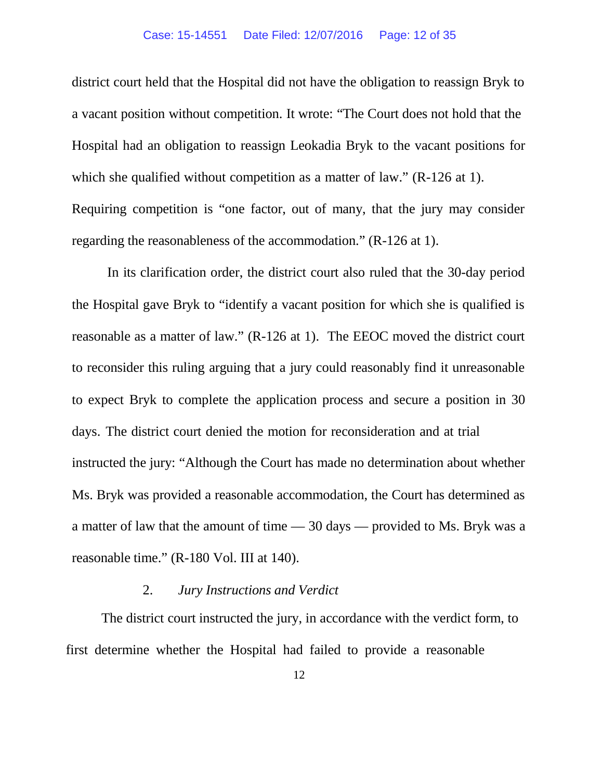district court held that the Hospital did not have the obligation to reassign Bryk to a vacant position without competition. It wrote: "The Court does not hold that the Hospital had an obligation to reassign Leokadia Bryk to the vacant positions for which she qualified without competition as a matter of law." (R-126 at 1). Requiring competition is "one factor, out of many, that the jury may consider regarding the reasonableness of the accommodation." (R-126 at 1).

In its clarification order, the district court also ruled that the 30-day period the Hospital gave Bryk to "identify a vacant position for which she is qualified is reasonable as a matter of law." (R-126 at 1). The EEOC moved the district court to reconsider this ruling arguing that a jury could reasonably find it unreasonable to expect Bryk to complete the application process and secure a position in 30 days. The district court denied the motion for reconsideration and at trial instructed the jury: "Although the Court has made no determination about whether Ms. Bryk was provided a reasonable accommodation, the Court has determined as a matter of law that the amount of time — 30 days — provided to Ms. Bryk was a reasonable time." (R-180 Vol. III at 140).

### 2. *Jury Instructions and Verdict*

The district court instructed the jury, in accordance with the verdict form, to first determine whether the Hospital had failed to provide a reasonable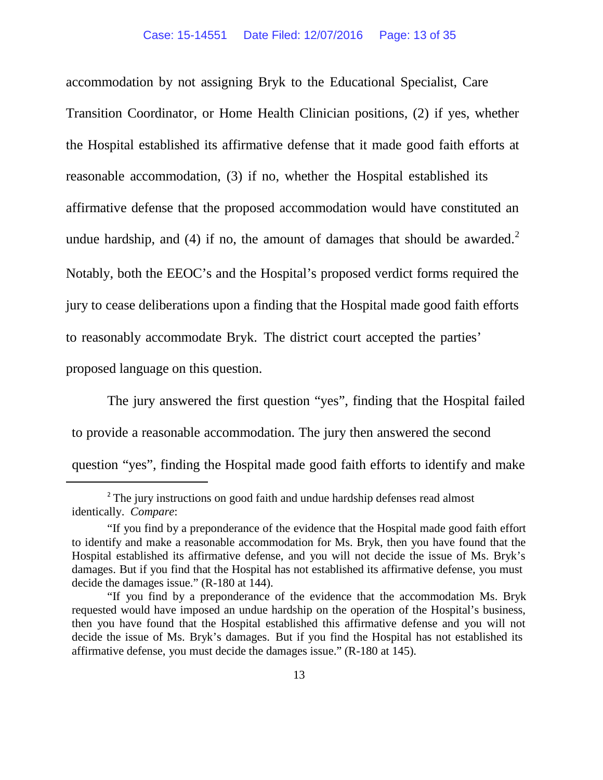accommodation by not assigning Bryk to the Educational Specialist, Care Transition Coordinator, or Home Health Clinician positions, (2) if yes, whether the Hospital established its affirmative defense that it made good faith efforts at reasonable accommodation, (3) if no, whether the Hospital established its affirmative defense that the proposed accommodation would have constituted an undue hardship, and (4) if no, the amount of damages that should be awarded.<sup>[2](#page-12-0)</sup> Notably, both the EEOC's and the Hospital's proposed verdict forms required the jury to cease deliberations upon a finding that the Hospital made good faith efforts to reasonably accommodate Bryk. The district court accepted the parties' proposed language on this question.

The jury answered the first question "yes", finding that the Hospital failed to provide a reasonable accommodation. The jury then answered the second question "yes", finding the Hospital made good faith efforts to identify and make

<span id="page-12-0"></span>**.** 

<sup>&</sup>lt;sup>2</sup> The jury instructions on good faith and undue hardship defenses read almost identically. *Compare*:

<sup>&</sup>quot;If you find by a preponderance of the evidence that the Hospital made good faith effort to identify and make a reasonable accommodation for Ms. Bryk, then you have found that the Hospital established its affirmative defense, and you will not decide the issue of Ms. Bryk's damages. But if you find that the Hospital has not established its affirmative defense, you must decide the damages issue." (R-180 at 144).

<sup>&</sup>quot;If you find by a preponderance of the evidence that the accommodation Ms. Bryk requested would have imposed an undue hardship on the operation of the Hospital's business, then you have found that the Hospital established this affirmative defense and you will not decide the issue of Ms. Bryk's damages. But if you find the Hospital has not established its affirmative defense, you must decide the damages issue." (R-180 at 145).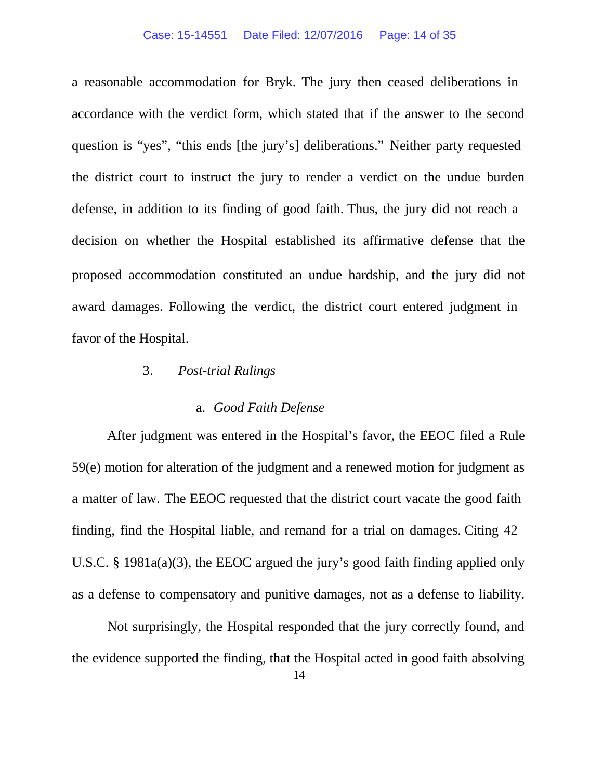a reasonable accommodation for Bryk. The jury then ceased deliberations in accordance with the verdict form, which stated that if the answer to the second question is "yes", "this ends [the jury's] deliberations." Neither party requested the district court to instruct the jury to render a verdict on the undue burden defense, in addition to its finding of good faith. Thus, the jury did not reach a decision on whether the Hospital established its affirmative defense that the proposed accommodation constituted an undue hardship, and the jury did not award damages. Following the verdict, the district court entered judgment in favor of the Hospital.

### 3. *Post-trial Rulings*

### a. *Good Faith Defense*

After judgment was entered in the Hospital's favor, the EEOC filed a Rule 59(e) motion for alteration of the judgment and a renewed motion for judgment as a matter of law. The EEOC requested that the district court vacate the good faith finding, find the Hospital liable, and remand for a trial on damages. Citing 42 U.S.C. § 1981a(a)(3), the EEOC argued the jury's good faith finding applied only as a defense to compensatory and punitive damages, not as a defense to liability.

Not surprisingly, the Hospital responded that the jury correctly found, and the evidence supported the finding, that the Hospital acted in good faith absolving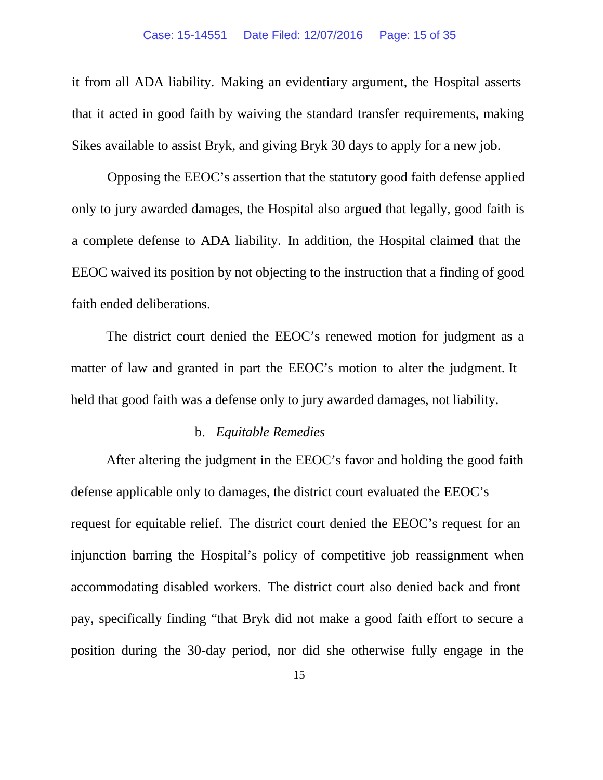it from all ADA liability. Making an evidentiary argument, the Hospital asserts that it acted in good faith by waiving the standard transfer requirements, making Sikes available to assist Bryk, and giving Bryk 30 days to apply for a new job.

Opposing the EEOC's assertion that the statutory good faith defense applied only to jury awarded damages, the Hospital also argued that legally, good faith is a complete defense to ADA liability. In addition, the Hospital claimed that the EEOC waived its position by not objecting to the instruction that a finding of good faith ended deliberations.

The district court denied the EEOC's renewed motion for judgment as a matter of law and granted in part the EEOC's motion to alter the judgment. It held that good faith was a defense only to jury awarded damages, not liability.

#### b. *Equitable Remedies*

After altering the judgment in the EEOC's favor and holding the good faith defense applicable only to damages, the district court evaluated the EEOC's request for equitable relief. The district court denied the EEOC's request for an injunction barring the Hospital's policy of competitive job reassignment when accommodating disabled workers. The district court also denied back and front pay, specifically finding "that Bryk did not make a good faith effort to secure a position during the 30-day period, nor did she otherwise fully engage in the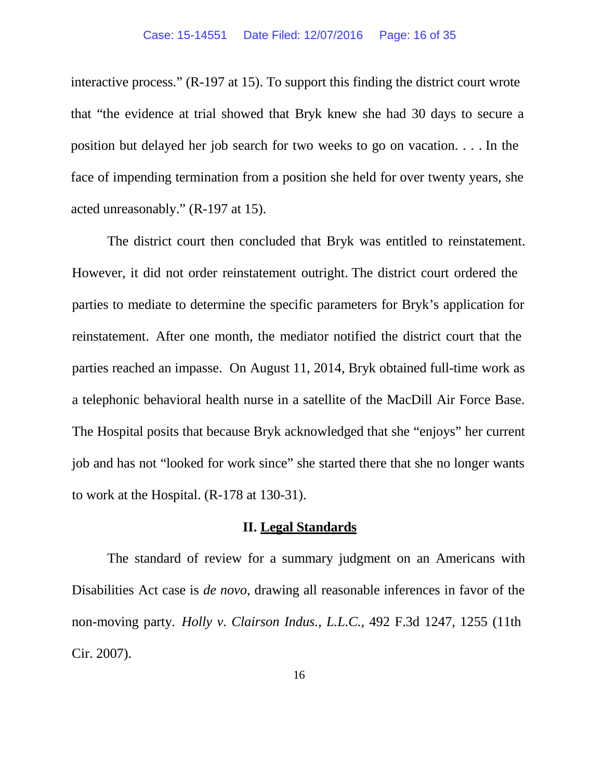interactive process." (R-197 at 15). To support this finding the district court wrote that "the evidence at trial showed that Bryk knew she had 30 days to secure a position but delayed her job search for two weeks to go on vacation. . . . In the face of impending termination from a position she held for over twenty years, she acted unreasonably." (R-197 at 15).

The district court then concluded that Bryk was entitled to reinstatement. However, it did not order reinstatement outright. The district court ordered the parties to mediate to determine the specific parameters for Bryk's application for reinstatement. After one month, the mediator notified the district court that the parties reached an impasse. On August 11, 2014, Bryk obtained full-time work as a telephonic behavioral health nurse in a satellite of the MacDill Air Force Base. The Hospital posits that because Bryk acknowledged that she "enjoys" her current job and has not "looked for work since" she started there that she no longer wants to work at the Hospital. (R-178 at 130-31).

### **II. Legal Standards**

The standard of review for a summary judgment on an Americans with Disabilities Act case is *de novo*, drawing all reasonable inferences in favor of the non-moving party. *Holly v. Clairson Indus., L.L.C.*, 492 F.3d 1247, 1255 (11th Cir. 2007).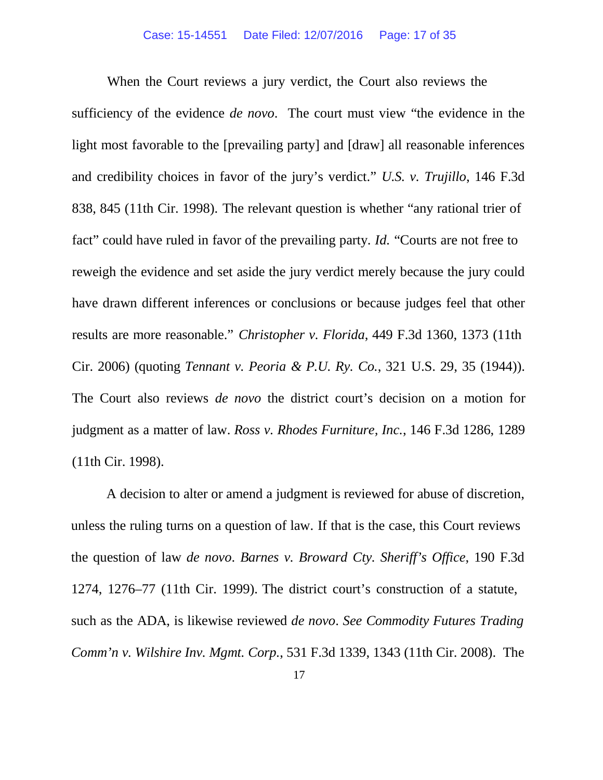When the Court reviews a jury verdict, the Court also reviews the sufficiency of the evidence *de novo*. The court must view "the evidence in the light most favorable to the [prevailing party] and [draw] all reasonable inferences and credibility choices in favor of the jury's verdict." *U.S. v. Trujillo*, 146 F.3d 838, 845 (11th Cir. 1998). The relevant question is whether "any rational trier of fact" could have ruled in favor of the prevailing party. *Id.* "Courts are not free to reweigh the evidence and set aside the jury verdict merely because the jury could have drawn different inferences or conclusions or because judges feel that other results are more reasonable." *Christopher v. Florida*, 449 F.3d 1360, 1373 (11th Cir. 2006) (quoting *Tennant v. Peoria & P.U. Ry. Co.*, 321 U.S. 29, 35 (1944)). The Court also reviews *de novo* the district court's decision on a motion for judgment as a matter of law. *Ross v. Rhodes Furniture, Inc.*, 146 F.3d 1286, 1289 (11th Cir. 1998).

A decision to alter or amend a judgment is reviewed for abuse of discretion, unless the ruling turns on a question of law. If that is the case, this Court reviews the question of law *de novo*. *Barnes v. Broward Cty. Sheriff's Office*, 190 F.3d 1274, 1276–77 (11th Cir. 1999). The district court's construction of a statute, such as the ADA, is likewise reviewed *de novo*. *See Commodity Futures Trading Comm'n v. Wilshire Inv. Mgmt. Corp.*, 531 F.3d 1339, 1343 (11th Cir. 2008). The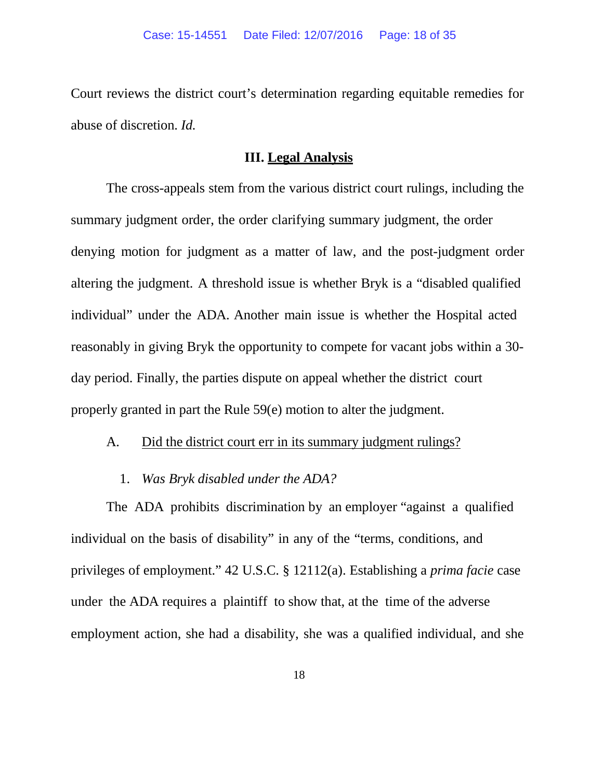Court reviews the district court's determination regarding equitable remedies for abuse of discretion. *Id.*

## **III. Legal Analysis**

The cross-appeals stem from the various district court rulings, including the summary judgment order, the order clarifying summary judgment, the order denying motion for judgment as a matter of law, and the post-judgment order altering the judgment. A threshold issue is whether Bryk is a "disabled qualified individual" under the ADA. Another main issue is whether the Hospital acted reasonably in giving Bryk the opportunity to compete for vacant jobs within a 30 day period. Finally, the parties dispute on appeal whether the district court properly granted in part the Rule 59(e) motion to alter the judgment.

## A. Did the district court err in its summary judgment rulings?

1. *Was Bryk disabled under the ADA?*

The ADA prohibits discrimination by an employer "against a qualified individual on the basis of disability" in any of the "terms, conditions, and privileges of employment." 42 U.S.C. § 12112(a). Establishing a *prima facie* case under the ADA requires a plaintiff to show that, at the time of the adverse employment action, she had a disability, she was a qualified individual, and she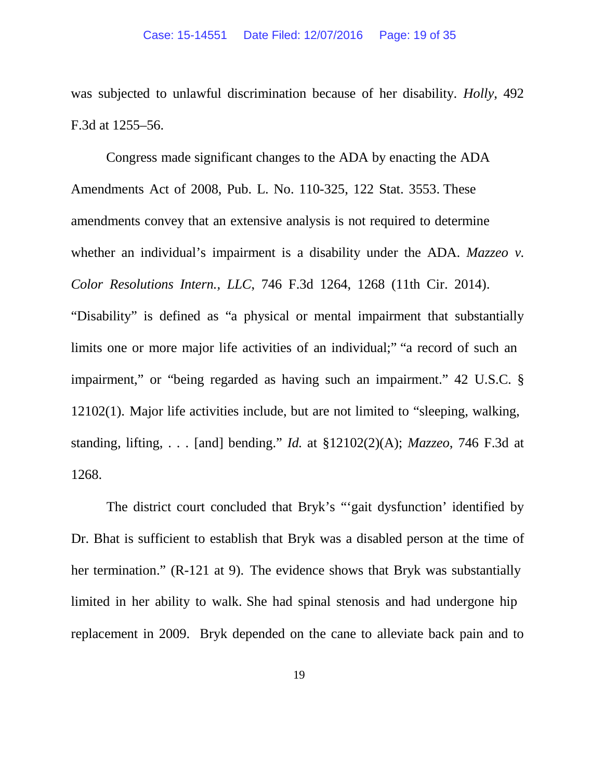was subjected to unlawful discrimination because of her disability. *Holly*, 492 F.3d at 1255–56.

Congress made significant changes to the ADA by enacting the ADA Amendments Act of 2008, Pub. L. No. 110-325, 122 Stat. 3553. These amendments convey that an extensive analysis is not required to determine whether an individual's impairment is a disability under the ADA. *Mazzeo v. Color Resolutions Intern., LLC*, 746 F.3d 1264, 1268 (11th Cir. 2014). "Disability" is defined as "a physical or mental impairment that substantially limits one or more major life activities of an individual;" "a record of such an impairment," or "being regarded as having such an impairment." 42 U.S.C. § 12102(1). Major life activities include, but are not limited to "sleeping, walking, standing, lifting, . . . [and] bending." *Id.* at §12102(2)(A); *Mazzeo*, 746 F.3d at 1268.

The district court concluded that Bryk's "'gait dysfunction' identified by Dr. Bhat is sufficient to establish that Bryk was a disabled person at the time of her termination." (R-121 at 9). The evidence shows that Bryk was substantially limited in her ability to walk. She had spinal stenosis and had undergone hip replacement in 2009. Bryk depended on the cane to alleviate back pain and to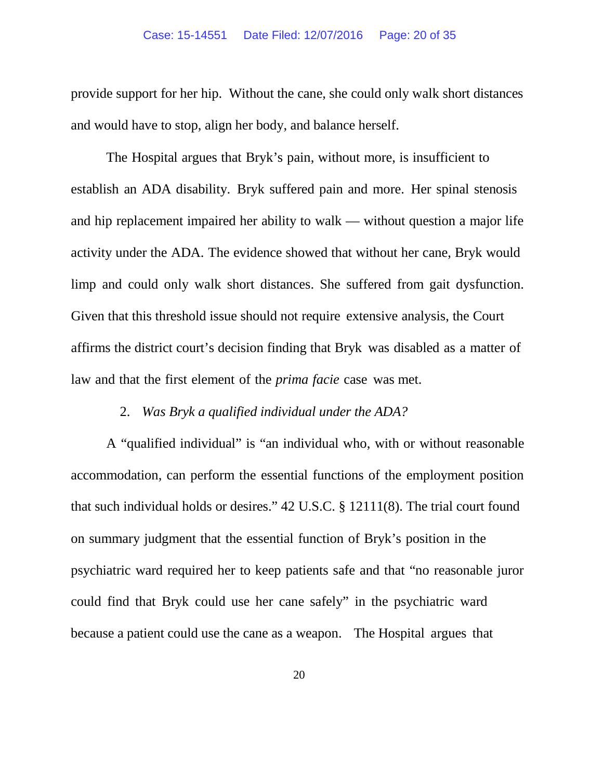provide support for her hip. Without the cane, she could only walk short distances and would have to stop, align her body, and balance herself.

The Hospital argues that Bryk's pain, without more, is insufficient to establish an ADA disability. Bryk suffered pain and more. Her spinal stenosis and hip replacement impaired her ability to walk — without question a major life activity under the ADA. The evidence showed that without her cane, Bryk would limp and could only walk short distances. She suffered from gait dysfunction. Given that this threshold issue should not require extensive analysis, the Court affirms the district court's decision finding that Bryk was disabled as a matter of law and that the first element of the *prima facie* case was met.

## 2. *Was Bryk a qualified individual under the ADA?*

A "qualified individual" is "an individual who, with or without reasonable accommodation, can perform the essential functions of the employment position that such individual holds or desires." 42 U.S.C. § 12111(8). The trial court found on summary judgment that the essential function of Bryk's position in the psychiatric ward required her to keep patients safe and that "no reasonable juror could find that Bryk could use her cane safely" in the psychiatric ward because a patient could use the cane as a weapon. The Hospital argues that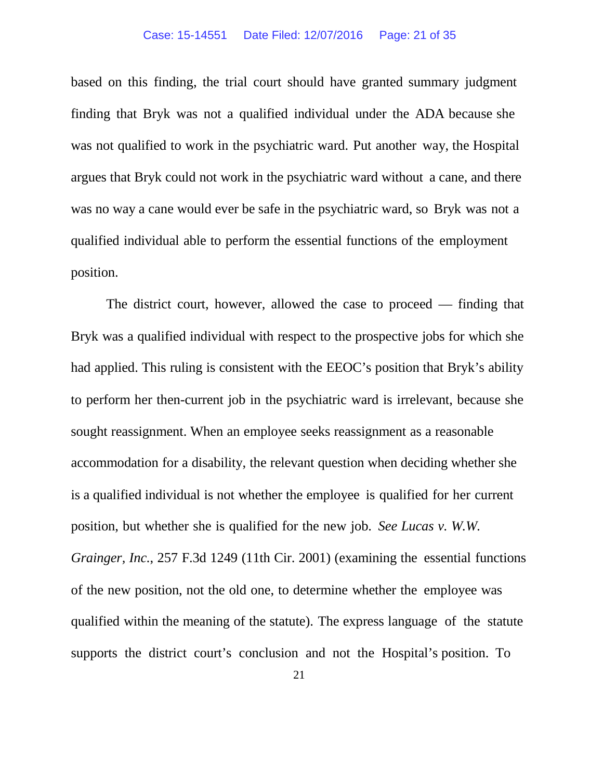#### Case: 15-14551 Date Filed: 12/07/2016 Page: 21 of 35

based on this finding, the trial court should have granted summary judgment finding that Bryk was not a qualified individual under the ADA because she was not qualified to work in the psychiatric ward. Put another way, the Hospital argues that Bryk could not work in the psychiatric ward without a cane, and there was no way a cane would ever be safe in the psychiatric ward, so Bryk was not a qualified individual able to perform the essential functions of the employment position.

The district court, however, allowed the case to proceed — finding that Bryk was a qualified individual with respect to the prospective jobs for which she had applied. This ruling is consistent with the EEOC's position that Bryk's ability to perform her then-current job in the psychiatric ward is irrelevant, because she sought reassignment. When an employee seeks reassignment as a reasonable accommodation for a disability, the relevant question when deciding whether she is a qualified individual is not whether the employee is qualified for her current position, but whether she is qualified for the new job. *See Lucas v. W.W. Grainger, Inc.*, 257 F.3d 1249 (11th Cir. 2001) (examining the essential functions of the new position, not the old one, to determine whether the employee was qualified within the meaning of the statute). The express language of the statute supports the district court's conclusion and not the Hospital's position. To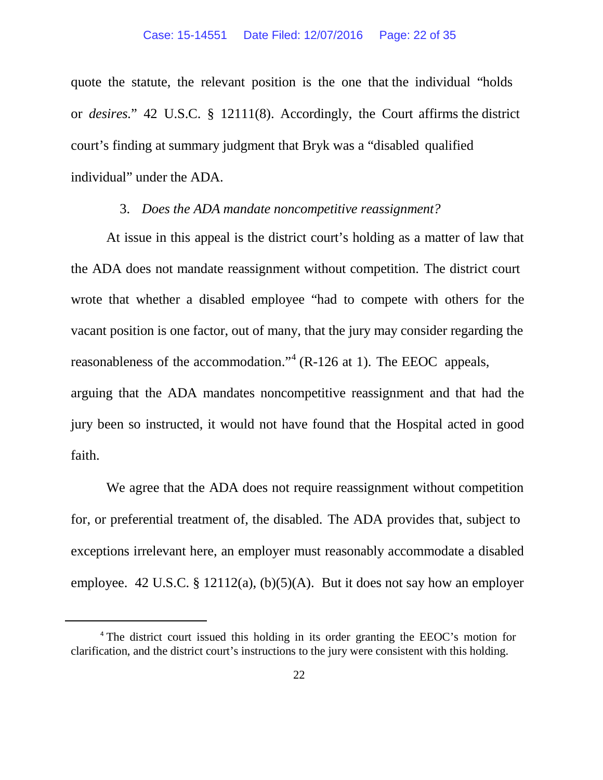quote the statute, the relevant position is the one that the individual "holds or *desires.*" 42 U.S.C. § 12111(8). Accordingly, the Court affirms the district court's finding at summary judgment that Bryk was a "disabled qualified individual" under the ADA.

### 3. *Does the ADA mandate noncompetitive reassignment?*

At issue in this appeal is the district court's holding as a matter of law that the ADA does not mandate reassignment without competition. The district court wrote that whether a disabled employee "had to compete with others for the vacant position is one factor, out of many, that the jury may consider regarding the reasonableness of the accommodation."[4](#page-21-0) (R-126 at 1). The EEOC appeals, arguing that the ADA mandates noncompetitive reassignment and that had the jury been so instructed, it would not have found that the Hospital acted in good faith.

We agree that the ADA does not require reassignment without competition for, or preferential treatment of, the disabled. The ADA provides that, subject to exceptions irrelevant here, an employer must reasonably accommodate a disabled employee. 42 U.S.C. § 12112(a),  $(b)(5)(A)$ . But it does not say how an employer

<span id="page-21-0"></span> $\overline{\phantom{a}}$ 

<sup>4</sup> The district court issued this holding in its order granting the EEOC's motion for clarification, and the district court's instructions to the jury were consistent with this holding.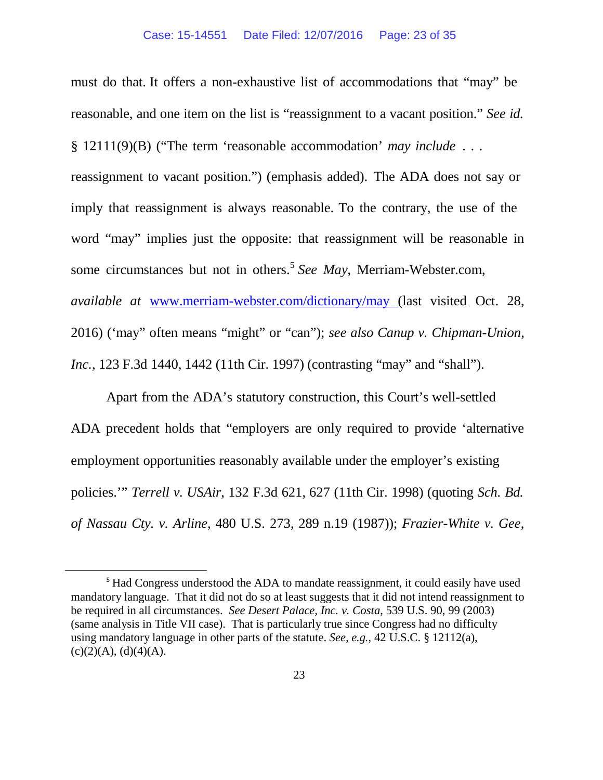must do that. It offers a non-exhaustive list of accommodations that "may" be reasonable, and one item on the list is "reassignment to a vacant position." *See id.* § 12111(9)(B) ("The term 'reasonable accommodation' *may include* . . . reassignment to vacant position.") (emphasis added). The ADA does not say or imply that reassignment is always reasonable. To the contrary, the use of the word "may" implies just the opposite: that reassignment will be reasonable in some circumstances but not in others.[5](#page-22-0) *See May*, Merriam-Webster.com, *available at* [www.merriam-webster.com/dictionary/may](http://www.merriam-webster.com/dictionary/may) (last visited Oct. 28, 2016) ('may" often means "might" or "can"); *see also Canup v. Chipman-Union, Inc.*, 123 F.3d 1440, 1442 (11th Cir. 1997) (contrasting "may" and "shall").

Apart from the ADA's statutory construction, this Court's well-settled ADA precedent holds that "employers are only required to provide 'alternative employment opportunities reasonably available under the employer's existing policies.'" *Terrell v. USAir*, 132 F.3d 621, 627 (11th Cir. 1998) (quoting *Sch. Bd. of Nassau Cty. v. Arline*, 480 U.S. 273, 289 n.19 (1987)); *Frazier-White v. Gee*,

<span id="page-22-0"></span><sup>&</sup>lt;sup>5</sup> Had Congress understood the ADA to mandate reassignment, it could easily have used mandatory language. That it did not do so at least suggests that it did not intend reassignment to be required in all circumstances. *See Desert Palace, Inc. v. Costa*, 539 U.S. 90, 99 (2003) (same analysis in Title VII case). That is particularly true since Congress had no difficulty using mandatory language in other parts of the statute. *See, e.g.*, 42 U.S.C. § 12112(a),  $(c)(2)(A), (d)(4)(A).$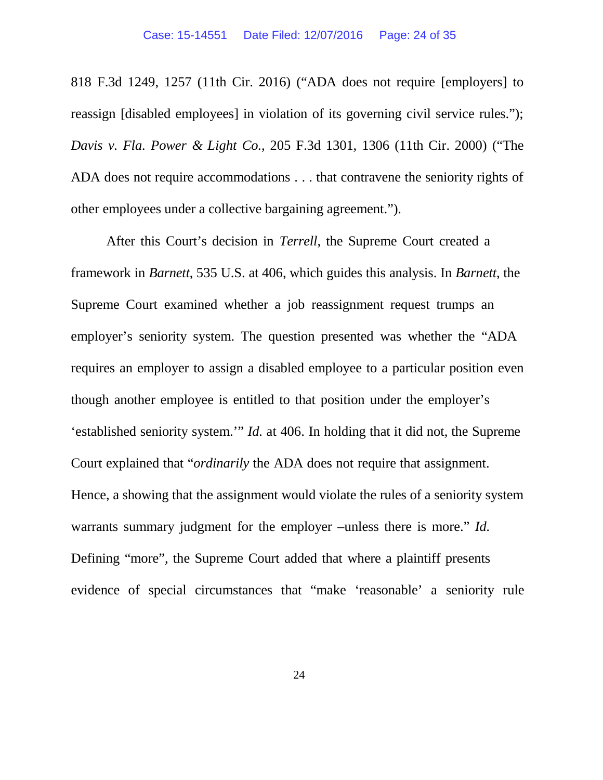818 F.3d 1249, 1257 (11th Cir. 2016) ("ADA does not require [employers] to reassign [disabled employees] in violation of its governing civil service rules."); *Davis v. Fla. Power & Light Co.*, 205 F.3d 1301, 1306 (11th Cir. 2000) ("The ADA does not require accommodations . . . that contravene the seniority rights of other employees under a collective bargaining agreement.").

After this Court's decision in *Terrell*, the Supreme Court created a framework in *Barnett*, 535 U.S. at 406, which guides this analysis. In *Barnett*, the Supreme Court examined whether a job reassignment request trumps an employer's seniority system. The question presented was whether the "ADA requires an employer to assign a disabled employee to a particular position even though another employee is entitled to that position under the employer's 'established seniority system.'" *Id.* at 406. In holding that it did not, the Supreme Court explained that "*ordinarily* the ADA does not require that assignment. Hence, a showing that the assignment would violate the rules of a seniority system warrants summary judgment for the employer –unless there is more." *Id.* Defining "more", the Supreme Court added that where a plaintiff presents evidence of special circumstances that "make 'reasonable' a seniority rule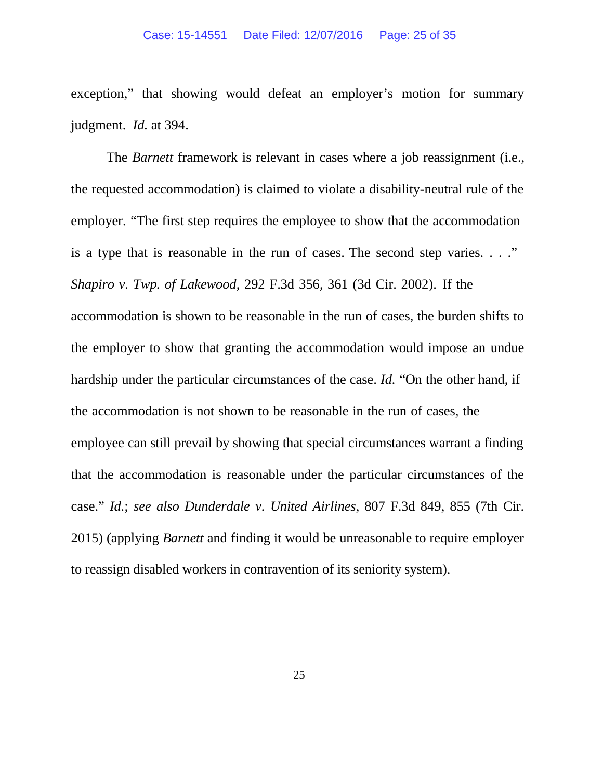exception," that showing would defeat an employer's motion for summary judgment. *Id.* at 394.

The *Barnett* framework is relevant in cases where a job reassignment (i.e., the requested accommodation) is claimed to violate a disability-neutral rule of the employer. "The first step requires the employee to show that the accommodation is a type that is reasonable in the run of cases. The second step varies. . . ." *Shapiro v. Twp. of Lakewood*, 292 F.3d 356, 361 (3d Cir. 2002). If the accommodation is shown to be reasonable in the run of cases, the burden shifts to the employer to show that granting the accommodation would impose an undue hardship under the particular circumstances of the case. *Id.* "On the other hand, if the accommodation is not shown to be reasonable in the run of cases, the employee can still prevail by showing that special circumstances warrant a finding that the accommodation is reasonable under the particular circumstances of the case." *Id.*; *see also Dunderdale v. United Airlines*, 807 F.3d 849, 855 (7th Cir. 2015) (applying *Barnett* and finding it would be unreasonable to require employer to reassign disabled workers in contravention of its seniority system).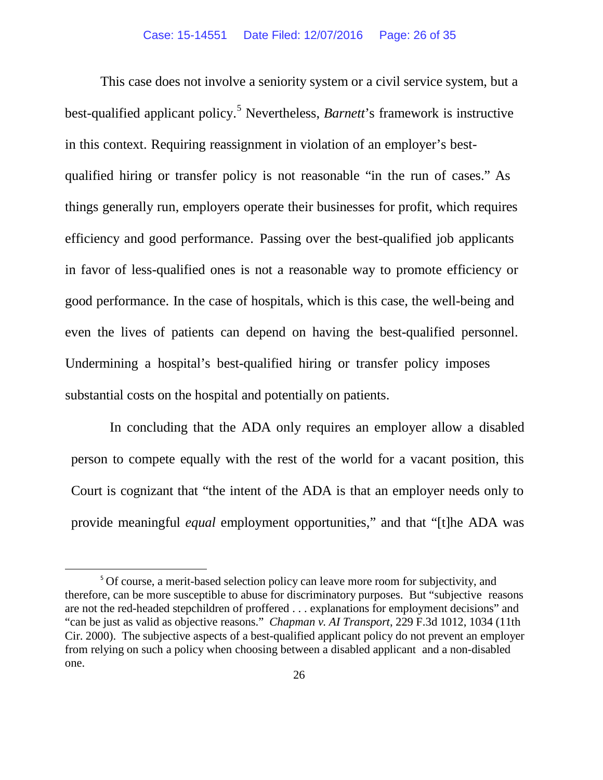This case does not involve a seniority system or a civil service system, but a best-qualified applicant policy.[5](#page-25-0) Nevertheless, *Barnett*'s framework is instructive in this context. Requiring reassignment in violation of an employer's bestqualified hiring or transfer policy is not reasonable "in the run of cases." As things generally run, employers operate their businesses for profit, which requires efficiency and good performance. Passing over the best-qualified job applicants in favor of less-qualified ones is not a reasonable way to promote efficiency or good performance. In the case of hospitals, which is this case, the well-being and even the lives of patients can depend on having the best-qualified personnel. Undermining a hospital's best-qualified hiring or transfer policy imposes substantial costs on the hospital and potentially on patients.

In concluding that the ADA only requires an employer allow a disabled person to compete equally with the rest of the world for a vacant position, this Court is cognizant that "the intent of the ADA is that an employer needs only to provide meaningful *equal* employment opportunities," and that "[t]he ADA was

<span id="page-25-0"></span><sup>&</sup>lt;sup>5</sup> Of course, a merit-based selection policy can leave more room for subjectivity, and therefore, can be more susceptible to abuse for discriminatory purposes. But "subjective reasons are not the red-headed stepchildren of proffered . . . explanations for employment decisions" and "can be just as valid as objective reasons." *Chapman v. AI Transport*, 229 F.3d 1012, 1034 (11th Cir. 2000). The subjective aspects of a best-qualified applicant policy do not prevent an employer from relying on such a policy when choosing between a disabled applicant and a non-disabled one.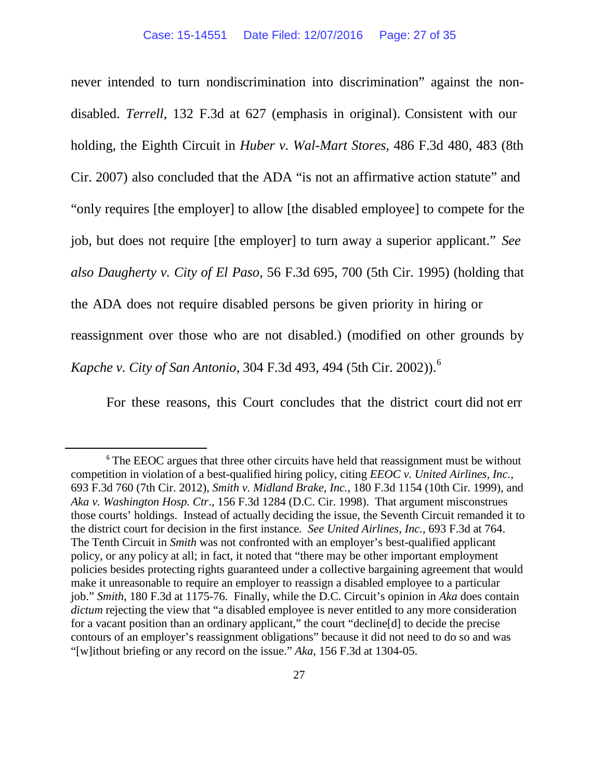never intended to turn nondiscrimination into discrimination" against the nondisabled. *Terrell*, 132 F.3d at 627 (emphasis in original). Consistent with our holding, the Eighth Circuit in *Huber v. Wal-Mart Stores,* 486 F.3d 480, 483 (8th Cir. 2007) also concluded that the ADA "is not an affirmative action statute" and "only requires [the employer] to allow [the disabled employee] to compete for the job, but does not require [the employer] to turn away a superior applicant." *See also Daugherty v. City of El Paso*, 56 F.3d 695, 700 (5th Cir. 1995) (holding that the ADA does not require disabled persons be given priority in hiring or reassignment over those who are not disabled.) (modified on other grounds by *Kapche v. City of San Antonio*, 304 F.3d 493, 494 (5th Cir. 2002)).[6](#page-26-0)

For these reasons, this Court concludes that the district court did not err

<span id="page-26-0"></span><sup>&</sup>lt;sup>6</sup> The EEOC argues that three other circuits have held that reassignment must be without competition in violation of a best-qualified hiring policy, citing *EEOC v. United Airlines, Inc.*, 693 F.3d 760 (7th Cir. 2012), *Smith v. Midland Brake, Inc.*, 180 F.3d 1154 (10th Cir. 1999), and *Aka v. Washington Hosp. Ctr*., 156 F.3d 1284 (D.C. Cir. 1998). That argument misconstrues those courts' holdings. Instead of actually deciding the issue, the Seventh Circuit remanded it to the district court for decision in the first instance. *See United Airlines, Inc.*, 693 F.3d at 764. The Tenth Circuit in *Smith* was not confronted with an employer's best-qualified applicant policy, or any policy at all; in fact, it noted that "there may be other important employment policies besides protecting rights guaranteed under a collective bargaining agreement that would make it unreasonable to require an employer to reassign a disabled employee to a particular job." *Smith*, 180 F.3d at 1175-76. Finally, while the D.C. Circuit's opinion in *Aka* does contain *dictum* rejecting the view that "a disabled employee is never entitled to any more consideration for a vacant position than an ordinary applicant," the court "decline[d] to decide the precise contours of an employer's reassignment obligations" because it did not need to do so and was "[w]ithout briefing or any record on the issue." *Aka*, 156 F.3d at 1304-05.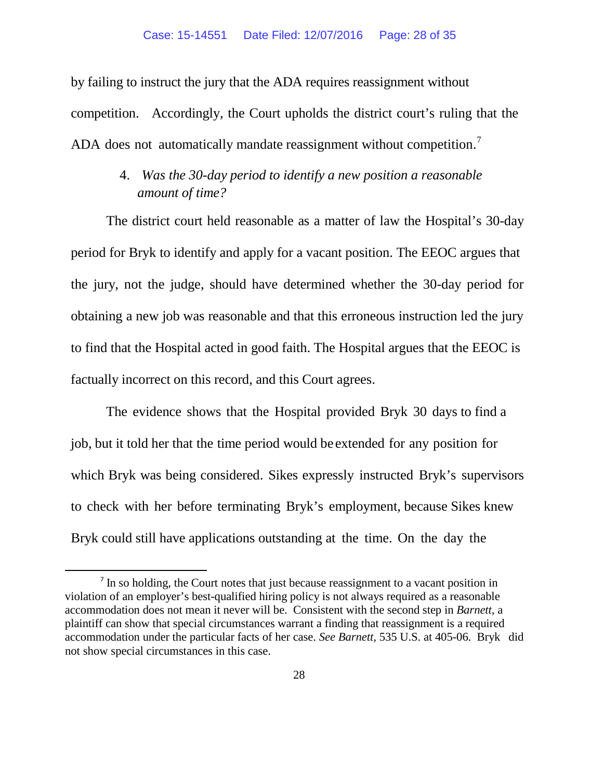by failing to instruct the jury that the ADA requires reassignment without competition. Accordingly, the Court upholds the district court's ruling that the ADA does not automatically mandate reassignment without competition.<sup>[7](#page-27-0)</sup>

# 4. *Was the 30-day period to identify a new position a reasonable amount of time?*

The district court held reasonable as a matter of law the Hospital's 30-day period for Bryk to identify and apply for a vacant position. The EEOC argues that the jury, not the judge, should have determined whether the 30-day period for obtaining a new job was reasonable and that this erroneous instruction led the jury to find that the Hospital acted in good faith. The Hospital argues that the EEOC is factually incorrect on this record, and this Court agrees.

The evidence shows that the Hospital provided Bryk 30 days to find a job, but it told her that the time period would be extended for any position for which Bryk was being considered. Sikes expressly instructed Bryk's supervisors to check with her before terminating Bryk's employment, because Sikes knew Bryk could still have applications outstanding at the time. On the day the

<span id="page-27-0"></span><sup>&</sup>lt;sup>7</sup> In so holding, the Court notes that just because reassignment to a vacant position in violation of an employer's best-qualified hiring policy is not always required as a reasonable accommodation does not mean it never will be. Consistent with the second step in *Barnett*, a plaintiff can show that special circumstances warrant a finding that reassignment is a required accommodation under the particular facts of her case. *See Barnett*, 535 U.S. at 405-06. Bryk did not show special circumstances in this case.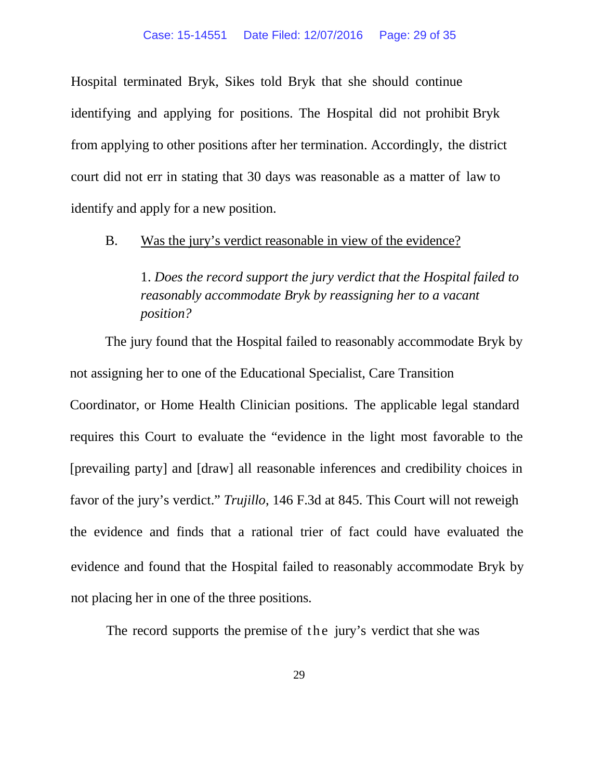Hospital terminated Bryk, Sikes told Bryk that she should continue identifying and applying for positions. The Hospital did not prohibit Bryk from applying to other positions after her termination. Accordingly, the district court did not err in stating that 30 days was reasonable as a matter of law to identify and apply for a new position.

B. Was the jury's verdict reasonable in view of the evidence?

1. *Does the record support the jury verdict that the Hospital failed to reasonably accommodate Bryk by reassigning her to a vacant position?*

The jury found that the Hospital failed to reasonably accommodate Bryk by not assigning her to one of the Educational Specialist, Care Transition Coordinator, or Home Health Clinician positions. The applicable legal standard requires this Court to evaluate the "evidence in the light most favorable to the [prevailing party] and [draw] all reasonable inferences and credibility choices in favor of the jury's verdict." *Trujillo*, 146 F.3d at 845. This Court will not reweigh the evidence and finds that a rational trier of fact could have evaluated the evidence and found that the Hospital failed to reasonably accommodate Bryk by not placing her in one of the three positions.

The record supports the premise of the jury's verdict that she was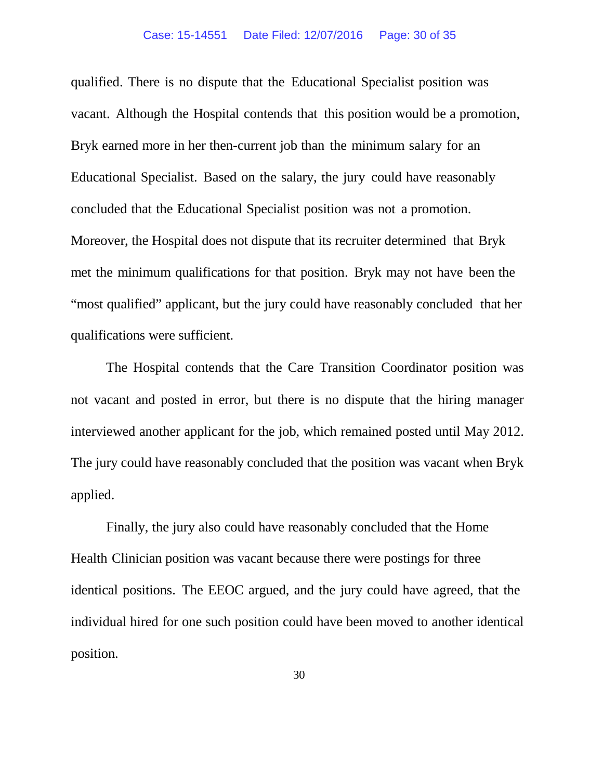qualified. There is no dispute that the Educational Specialist position was vacant. Although the Hospital contends that this position would be a promotion, Bryk earned more in her then-current job than the minimum salary for an Educational Specialist. Based on the salary, the jury could have reasonably concluded that the Educational Specialist position was not a promotion. Moreover, the Hospital does not dispute that its recruiter determined that Bryk met the minimum qualifications for that position. Bryk may not have been the "most qualified" applicant, but the jury could have reasonably concluded that her qualifications were sufficient.

The Hospital contends that the Care Transition Coordinator position was not vacant and posted in error, but there is no dispute that the hiring manager interviewed another applicant for the job, which remained posted until May 2012. The jury could have reasonably concluded that the position was vacant when Bryk applied.

Finally, the jury also could have reasonably concluded that the Home Health Clinician position was vacant because there were postings for three identical positions. The EEOC argued, and the jury could have agreed, that the individual hired for one such position could have been moved to another identical position.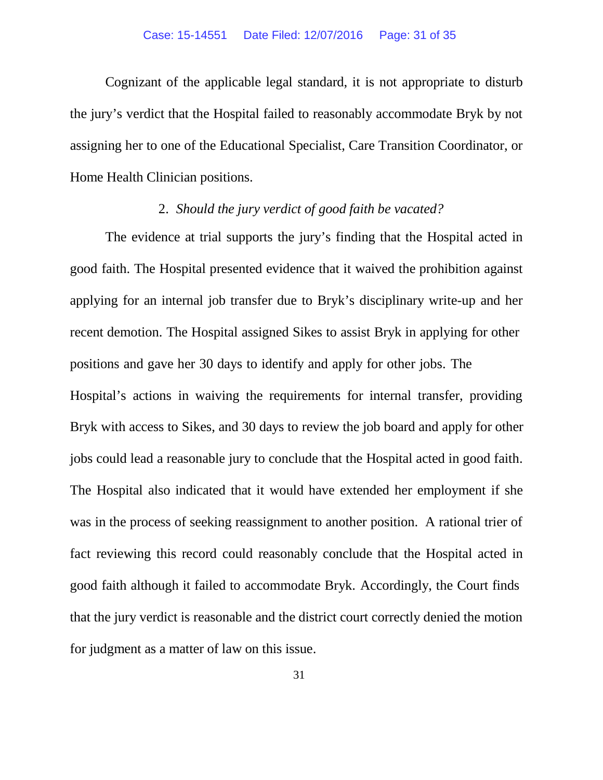Cognizant of the applicable legal standard, it is not appropriate to disturb the jury's verdict that the Hospital failed to reasonably accommodate Bryk by not assigning her to one of the Educational Specialist, Care Transition Coordinator, or Home Health Clinician positions.

## 2. *Should the jury verdict of good faith be vacated?*

The evidence at trial supports the jury's finding that the Hospital acted in good faith. The Hospital presented evidence that it waived the prohibition against applying for an internal job transfer due to Bryk's disciplinary write-up and her recent demotion. The Hospital assigned Sikes to assist Bryk in applying for other positions and gave her 30 days to identify and apply for other jobs. The Hospital's actions in waiving the requirements for internal transfer, providing Bryk with access to Sikes, and 30 days to review the job board and apply for other jobs could lead a reasonable jury to conclude that the Hospital acted in good faith. The Hospital also indicated that it would have extended her employment if she was in the process of seeking reassignment to another position. A rational trier of fact reviewing this record could reasonably conclude that the Hospital acted in good faith although it failed to accommodate Bryk. Accordingly, the Court finds that the jury verdict is reasonable and the district court correctly denied the motion for judgment as a matter of law on this issue.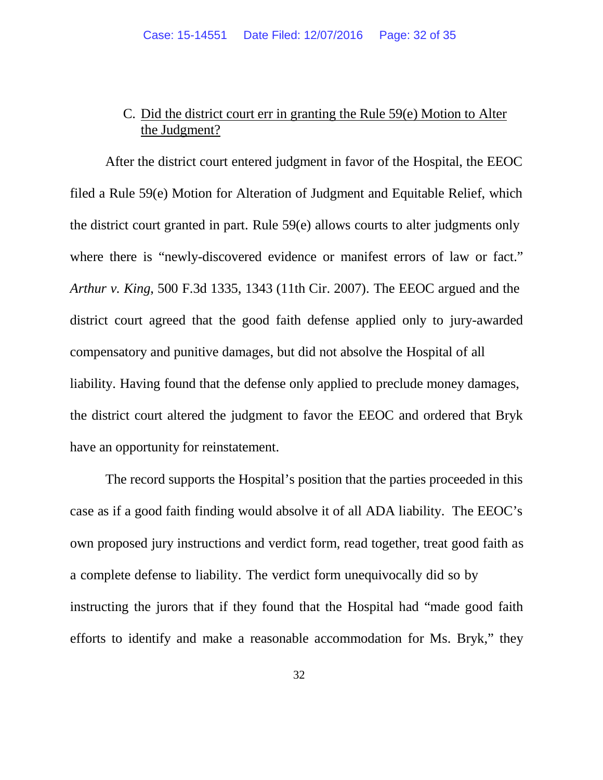# C. Did the district court err in granting the Rule 59(e) Motion to Alter the Judgment?

After the district court entered judgment in favor of the Hospital, the EEOC filed a Rule 59(e) Motion for Alteration of Judgment and Equitable Relief, which the district court granted in part. Rule 59(e) allows courts to alter judgments only where there is "newly-discovered evidence or manifest errors of law or fact." *Arthur v. King*, 500 F.3d 1335, 1343 (11th Cir. 2007). The EEOC argued and the district court agreed that the good faith defense applied only to jury-awarded compensatory and punitive damages, but did not absolve the Hospital of all liability. Having found that the defense only applied to preclude money damages, the district court altered the judgment to favor the EEOC and ordered that Bryk have an opportunity for reinstatement.

The record supports the Hospital's position that the parties proceeded in this case as if a good faith finding would absolve it of all ADA liability. The EEOC's own proposed jury instructions and verdict form, read together, treat good faith as a complete defense to liability. The verdict form unequivocally did so by instructing the jurors that if they found that the Hospital had "made good faith efforts to identify and make a reasonable accommodation for Ms. Bryk," they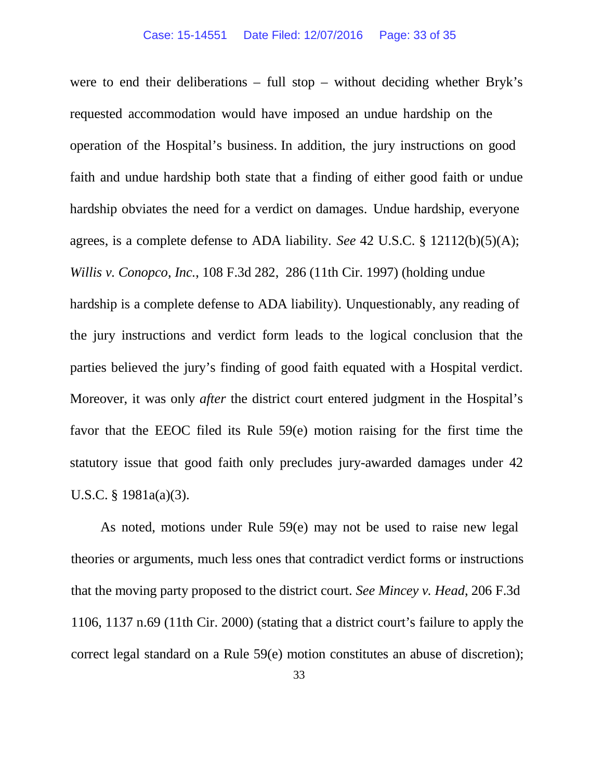were to end their deliberations – full stop – without deciding whether Bryk's requested accommodation would have imposed an undue hardship on the operation of the Hospital's business. In addition, the jury instructions on good faith and undue hardship both state that a finding of either good faith or undue hardship obviates the need for a verdict on damages. Undue hardship, everyone agrees, is a complete defense to ADA liability. *See* 42 U.S.C. § 12112(b)(5)(A); *Willis v. Conopco*, *Inc.*, 108 F.3d 282, 286 (11th Cir. 1997) (holding undue hardship is a complete defense to ADA liability). Unquestionably, any reading of the jury instructions and verdict form leads to the logical conclusion that the parties believed the jury's finding of good faith equated with a Hospital verdict. Moreover, it was only *after* the district court entered judgment in the Hospital's favor that the EEOC filed its Rule 59(e) motion raising for the first time the statutory issue that good faith only precludes jury-awarded damages under 42 U.S.C. § 1981a(a)(3).

As noted, motions under Rule 59(e) may not be used to raise new legal theories or arguments, much less ones that contradict verdict forms or instructions that the moving party proposed to the district court. *See Mincey v. Head*, 206 F.3d 1106, 1137 n.69 (11th Cir. 2000) (stating that a district court's failure to apply the correct legal standard on a Rule 59(e) motion constitutes an abuse of discretion);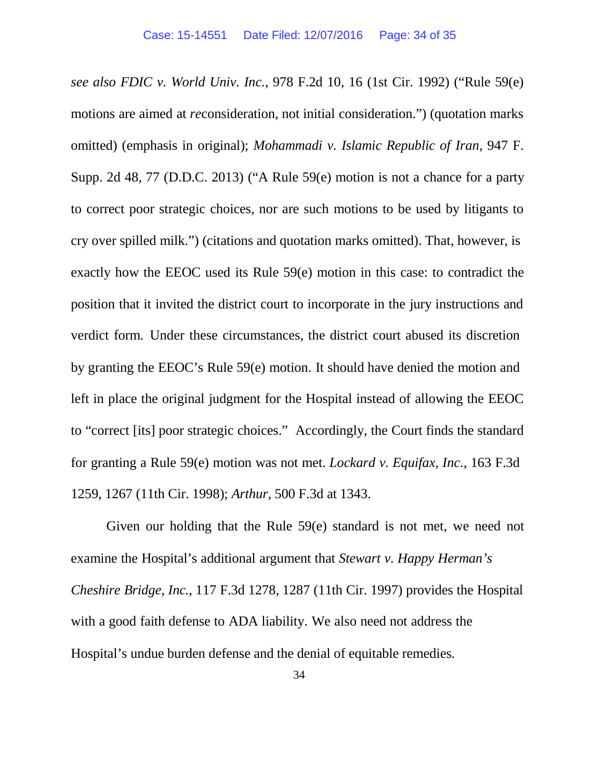*see also FDIC v. World Univ. Inc.*, 978 F.2d 10, 16 (1st Cir. 1992) ("Rule 59(e) motions are aimed at *re*consideration, not initial consideration.") (quotation marks omitted) (emphasis in original); *Mohammadi v. Islamic Republic of Iran*, 947 F. Supp. 2d 48, 77 (D.D.C. 2013) ("A Rule 59(e) motion is not a chance for a party to correct poor strategic choices, nor are such motions to be used by litigants to cry over spilled milk.") (citations and quotation marks omitted). That, however, is exactly how the EEOC used its Rule 59(e) motion in this case: to contradict the position that it invited the district court to incorporate in the jury instructions and verdict form. Under these circumstances, the district court abused its discretion by granting the EEOC's Rule 59(e) motion. It should have denied the motion and left in place the original judgment for the Hospital instead of allowing the EEOC to "correct [its] poor strategic choices." Accordingly, the Court finds the standard for granting a Rule 59(e) motion was not met. *Lockard v. Equifax, Inc.*, 163 F.3d 1259, 1267 (11th Cir. 1998); *Arthur*, 500 F.3d at 1343.

Given our holding that the Rule 59(e) standard is not met, we need not examine the Hospital's additional argument that *Stewart v. Happy Herman's Cheshire Bridge, Inc.*, 117 F.3d 1278, 1287 (11th Cir. 1997) provides the Hospital with a good faith defense to ADA liability. We also need not address the Hospital's undue burden defense and the denial of equitable remedies.